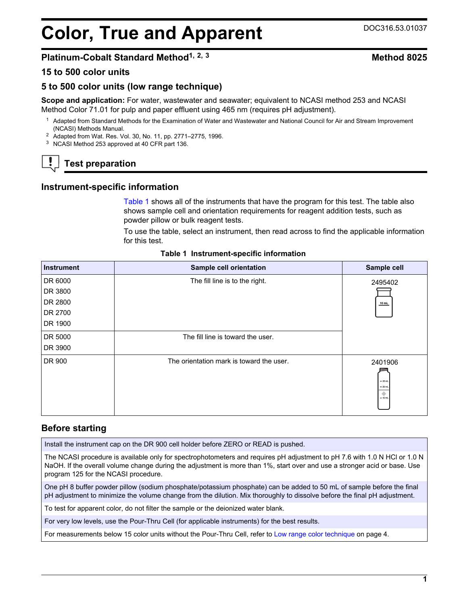# <span id="page-0-0"></span>**Color, True and Apparent** DOC316.53.01037

# **Platinum-Cobalt Standard Method1, 2, <sup>3</sup> Method 8025**

#### **15 to 500 color units**

#### **5 to 500 color units (low range technique)**

**Scope and application:** For water, wastewater and seawater; equivalent to NCASI method 253 and NCASI Method Color 71.01 for pulp and paper effluent using 465 nm (requires pH adjustment).

 $1$  Adapted from Standard Methods for the Examination of Water and Wastewater and National Council for Air and Stream Improvement (NCASI) Methods Manual.

<sup>2</sup> Adapted from Wat. Res. Vol. 30, No. 11, pp. 2771–2775, 1996.

<sup>3</sup> NCASI Method 253 approved at 40 CFR part 136.

# **Test preparation**

#### **Instrument-specific information**

Table 1 shows all of the instruments that have the program for this test. The table also shows sample cell and orientation requirements for reagent addition tests, such as powder pillow or bulk reagent tests.

To use the table, select an instrument, then read across to find the applicable information for this test.

| <b>Instrument</b> | Sample cell orientation                  | Sample cell                                        |
|-------------------|------------------------------------------|----------------------------------------------------|
| DR 6000           | The fill line is to the right.           | 2495402                                            |
| DR 3800           |                                          |                                                    |
| DR 2800           |                                          | $10$ mL                                            |
| DR 2700           |                                          |                                                    |
| DR 1900           |                                          |                                                    |
| DR 5000           | The fill line is toward the user.        |                                                    |
| DR 3900           |                                          |                                                    |
| DR 900            | The orientation mark is toward the user. | 2401906<br>$-25$ mL<br>$= 20$ mL<br>۰<br>$= 10$ mL |

#### **Table 1 Instrument-specific information**

#### **Before starting**

Install the instrument cap on the DR 900 cell holder before ZERO or READ is pushed.

The NCASI procedure is available only for spectrophotometers and requires pH adjustment to pH 7.6 with 1.0 N HCl or 1.0 N NaOH. If the overall volume change during the adjustment is more than 1%, start over and use a stronger acid or base. Use program 125 for the NCASI procedure.

One pH 8 buffer powder pillow (sodium phosphate/potassium phosphate) can be added to 50 mL of sample before the final pH adjustment to minimize the volume change from the dilution. Mix thoroughly to dissolve before the final pH adjustment.

To test for apparent color, do not filter the sample or the deionized water blank.

For very low levels, use the Pour-Thru Cell (for applicable instruments) for the best results.

For measurements below 15 color units without the Pour-Thru Cell, refer to [Low range color technique](#page-3-0) on page 4.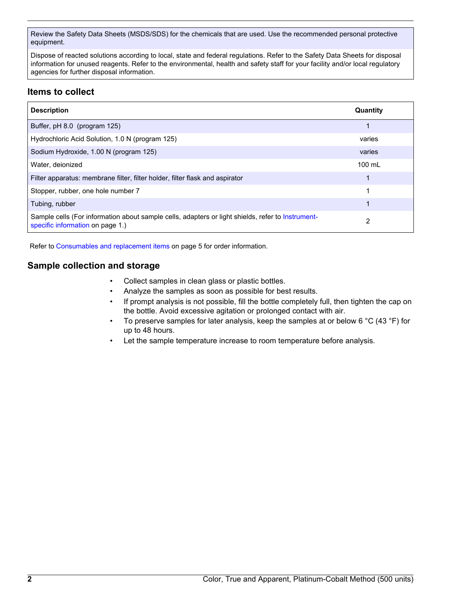Review the Safety Data Sheets (MSDS/SDS) for the chemicals that are used. Use the recommended personal protective equipment.

Dispose of reacted solutions according to local, state and federal regulations. Refer to the Safety Data Sheets for disposal information for unused reagents. Refer to the environmental, health and safety staff for your facility and/or local regulatory agencies for further disposal information.

# **Items to collect**

| <b>Description</b>                                                                                                                    | Quantity         |
|---------------------------------------------------------------------------------------------------------------------------------------|------------------|
| Buffer, pH 8.0 (program 125)                                                                                                          | 1                |
| Hydrochloric Acid Solution, 1.0 N (program 125)                                                                                       | varies           |
| Sodium Hydroxide, 1.00 N (program 125)                                                                                                | varies           |
| Water, deionized                                                                                                                      | $100 \text{ mL}$ |
| Filter apparatus: membrane filter, filter holder, filter flask and aspirator                                                          |                  |
| Stopper, rubber, one hole number 7                                                                                                    | 1                |
| Tubing, rubber                                                                                                                        | 1                |
| Sample cells (For information about sample cells, adapters or light shields, refer to Instrument-<br>specific information on page 1.) | 2                |

Refer to [Consumables and replacement items](#page-4-0) on page 5 for order information.

# **Sample collection and storage**

- Collect samples in clean glass or plastic bottles.
- Analyze the samples as soon as possible for best results.
- If prompt analysis is not possible, fill the bottle completely full, then tighten the cap on the bottle. Avoid excessive agitation or prolonged contact with air.
- To preserve samples for later analysis, keep the samples at or below 6  $^{\circ}$ C (43  $^{\circ}$ F) for up to 48 hours.
- Let the sample temperature increase to room temperature before analysis.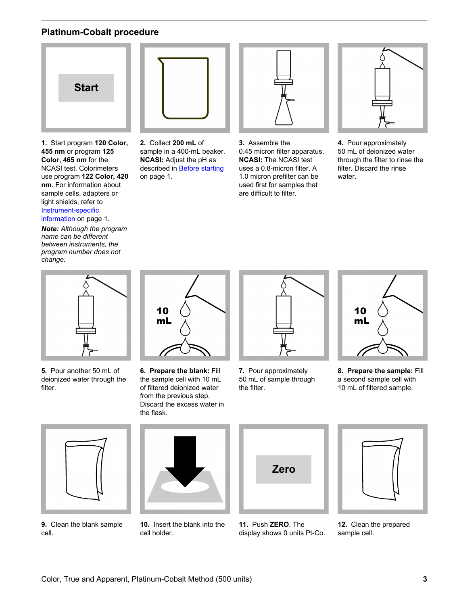# **Platinum-Cobalt procedure**



**1.** Start program **120 Color, 455 nm** or program **125 Color, 465 nm** for the NCASI test. Colorimeters use program **122 Color, 420 nm**. For information about sample cells, adapters or light shields, refer to [Instrument-specific](#page-0-0) [information](#page-0-0) on page 1.

*Note: Although the program name can be different between instruments, the program number does not*

*change.*



**2.** Collect **200 mL** of sample in a 400-mL beaker. **NCASI:** Adjust the pH as described in [Before starting](#page-0-0) on page 1.



**3.** Assemble the 0.45 micron filter apparatus. **NCASI:** The NCASI test uses a 0.8‑micron filter. A 1.0 micron prefilter can be used first for samples that are difficult to filter.



**4.** Pour approximately 50 mL of deionized water through the filter to rinse the filter. Discard the rinse water.



**5.** Pour another 50 mL of deionized water through the filter.



**6. Prepare the blank:** Fill the sample cell with 10 mL of filtered deionized water from the previous step. Discard the excess water in the flask.



**7.** Pour approximately 50 mL of sample through the filter.



**8. Prepare the sample:** Fill a second sample cell with 10 mL of filtered sample.



**9.** Clean the blank sample cell.



**10.** Insert the blank into the cell holder.



**11.** Push **ZERO**. The display shows 0 units Pt-Co.



**12.** Clean the prepared sample cell.

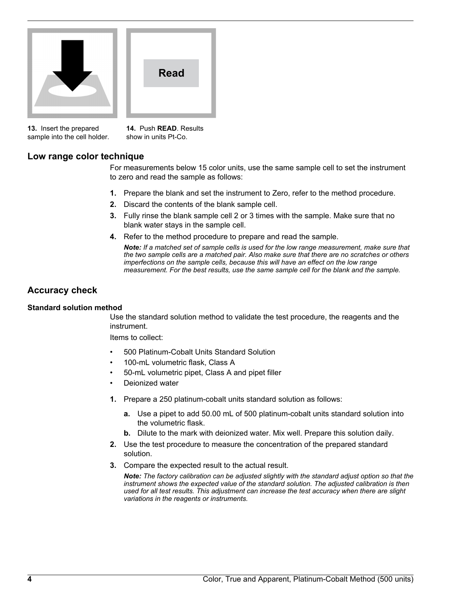<span id="page-3-0"></span>



**13.** Insert the prepared sample into the cell holder.

**14.** Push **READ**. Results show in units Pt-Co.

# **Low range color technique**

For measurements below 15 color units, use the same sample cell to set the instrument to zero and read the sample as follows:

- **1.** Prepare the blank and set the instrument to Zero, refer to the method procedure.
- **2.** Discard the contents of the blank sample cell.
- **3.** Fully rinse the blank sample cell 2 or 3 times with the sample. Make sure that no blank water stays in the sample cell.
- **4.** Refer to the method procedure to prepare and read the sample.

*Note: If a matched set of sample cells is used for the low range measurement, make sure that the two sample cells are a matched pair. Also make sure that there are no scratches or others imperfections on the sample cells, because this will have an effect on the low range measurement. For the best results, use the same sample cell for the blank and the sample.*

# **Accuracy check**

#### **Standard solution method**

Use the standard solution method to validate the test procedure, the reagents and the instrument.

Items to collect:

- 500 Platinum-Cobalt Units Standard Solution
- 100-mL volumetric flask, Class A
- 50-mL volumetric pipet, Class A and pipet filler
- Deionized water
- **1.** Prepare a 250 platinum-cobalt units standard solution as follows:
	- **a.** Use a pipet to add 50.00 mL of 500 platinum-cobalt units standard solution into the volumetric flask.
	- **b.** Dilute to the mark with deionized water. Mix well. Prepare this solution daily.
- **2.** Use the test procedure to measure the concentration of the prepared standard solution.
- **3.** Compare the expected result to the actual result.

*Note: The factory calibration can be adjusted slightly with the standard adjust option so that the instrument shows the expected value of the standard solution. The adjusted calibration is then used for all test results. This adjustment can increase the test accuracy when there are slight variations in the reagents or instruments.*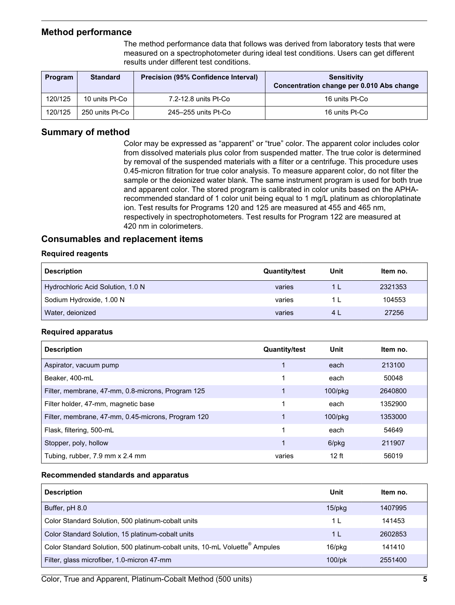### <span id="page-4-0"></span>**Method performance**

The method performance data that follows was derived from laboratory tests that were measured on a spectrophotometer during ideal test conditions. Users can get different results under different test conditions.

| Program | <b>Standard</b> | <b>Precision (95% Confidence Interval)</b> | <b>Sensitivity</b><br>Concentration change per 0.010 Abs change |
|---------|-----------------|--------------------------------------------|-----------------------------------------------------------------|
| 120/125 | 10 units Pt-Co  | 7.2-12.8 units Pt-Co                       | 16 units Pt-Co                                                  |
| 120/125 | 250 units Pt-Co | 245–255 units Pt-Co                        | 16 units Pt-Co                                                  |

# **Summary of method**

Color may be expressed as "apparent" or "true" color. The apparent color includes color from dissolved materials plus color from suspended matter. The true color is determined by removal of the suspended materials with a filter or a centrifuge. This procedure uses 0.45-micron filtration for true color analysis. To measure apparent color, do not filter the sample or the deionized water blank. The same instrument program is used for both true and apparent color. The stored program is calibrated in color units based on the APHArecommended standard of 1 color unit being equal to 1 mg/L platinum as chloroplatinate ion. Test results for Programs 120 and 125 are measured at 455 and 465 nm, respectively in spectrophotometers. Test results for Program 122 are measured at 420 nm in colorimeters.

# **Consumables and replacement items**

#### **Required reagents**

| <b>Description</b>                | <b>Quantity/test</b> | Unit | Item no. |
|-----------------------------------|----------------------|------|----------|
| Hydrochloric Acid Solution, 1.0 N | varies               |      | 2321353  |
| Sodium Hydroxide, 1.00 N          | varies               |      | 104553   |
| Water, deionized                  | varies               | 4 I  | 27256    |

#### **Required apparatus**

| <b>Description</b>                                 | <b>Quantity/test</b> | Unit             | Item no. |
|----------------------------------------------------|----------------------|------------------|----------|
| Aspirator, vacuum pump                             |                      | each             | 213100   |
| Beaker, 400-mL                                     | 1                    | each             | 50048    |
| Filter, membrane, 47-mm, 0.8-microns, Program 125  | 1                    | $100$ /p $kg$    | 2640800  |
| Filter holder, 47-mm, magnetic base                | 1                    | each             | 1352900  |
| Filter, membrane, 47-mm, 0.45-microns, Program 120 |                      | 100/pkg          | 1353000  |
| Flask, filtering, 500-mL                           | 1                    | each             | 54649    |
| Stopper, poly, hollow                              | 1                    | 6/pkg            | 211907   |
| Tubing, rubber, 7.9 mm x 2.4 mm                    | varies               | 12 <sub>ft</sub> | 56019    |

#### **Recommended standards and apparatus**

| <b>Description</b>                                                                      | Unit           | Item no. |
|-----------------------------------------------------------------------------------------|----------------|----------|
| Buffer, pH 8.0                                                                          | $15$ /pkg      | 1407995  |
| Color Standard Solution, 500 platinum-cobalt units                                      | 1 I            | 141453   |
| Color Standard Solution, 15 platinum-cobalt units                                       | 1 <sub>L</sub> | 2602853  |
| Color Standard Solution, 500 platinum-cobalt units, 10-mL Voluette <sup>®</sup> Ampules | 16/pkg         | 141410   |
| Filter, glass microfiber, 1.0-micron 47-mm                                              | $100$ /pk      | 2551400  |